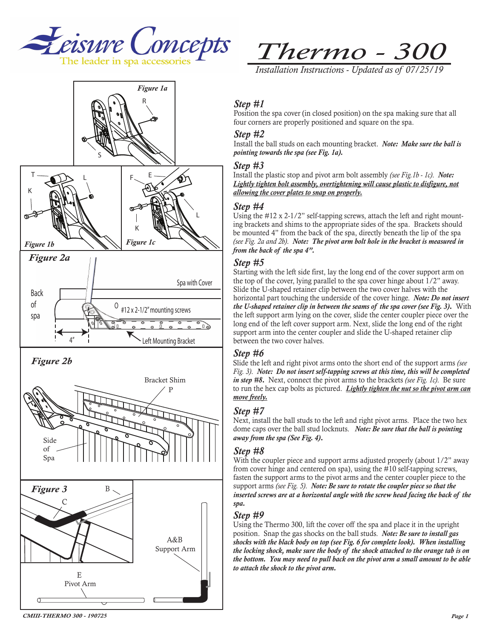



# *Thermo - 300*

*Installation Instructions - Updated as of 07/25/19*

### *Step #1*

Position the spa cover (in closed position) on the spa making sure that all four corners are properly positioned and square on the spa.

#### *Step #2*

Install the ball studs on each mounting bracket. *Note: Make sure the ball is pointing towards the spa (see Fig. 1a).*

#### *Step #3*

Install the plastic stop and pivot arm bolt assembly *(see Fig.1b - 1c)*. *Note: Lightly tighten bolt assembly, overtightening will cause plastic to disfigure, not allowing the cover plates to snap on properly.*

#### *Step #4*

Using the #12 x 2-1/2" self-tapping screws, attach the left and right mounting brackets and shims to the appropriate sides of the spa. Brackets should be mounted 4" from the back of the spa, directly beneath the lip of the spa *(see Fig. 2a and 2b)*. *Note: The pivot arm bolt hole in the bracket is measured in from the back of the spa 4".*

#### *Step #5*

Starting with the left side first, lay the long end of the cover support arm on the top of the cover, lying parallel to the spa cover hinge about 1/2" away. Slide the U-shaped retainer clip between the two cover halves with the horizontal part touching the underside of the cover hinge. *Note: Do not insert the U-shaped retainer clip in between the seams of the spa cover (see Fig. 3)*. With the left support arm lying on the cover, slide the center coupler piece over the long end of the left cover support arm. Next, slide the long end of the right support arm into the center coupler and slide the U-shaped retainer clip between the two cover halves.

#### *Step #6*

Slide the left and right pivot arms onto the short end of the support arms *(see Fig. 3)*. *Note: Do not insert self-tapping screws at this time, this will be completed in step #8*. Next, connect the pivot arms to the brackets *(see Fig. 1c)*. Be sure to run the hex cap bolts as pictured. *Lightly tighten the nut so the pivot arm can move freely.*

#### *Step #7*

Next, install the ball studs to the left and right pivot arms. Place the two hex dome caps over the ball stud locknuts. *Note: Be sure that the ball is pointing away from the spa (See Fig. 4)*.

#### *Step #8*

With the coupler piece and support arms adjusted properly (about  $1/2$ " away from cover hinge and centered on spa), using the #10 self-tapping screws, fasten the support arms to the pivot arms and the center coupler piece to the support arms *(see Fig. 5)*. *Note: Be sure to rotate the coupler piece so that the*  inserted screws are at a horizontal angle with the screw head facing the back of the *spa.* 

#### *Step #9*

Using the Thermo 300, lift the cover off the spa and place it in the upright position. Snap the gas shocks on the ball studs. *Note: Be sure to install gas shocks with the black body on top (see Fig. 6 for complete look). When installing the locking shock, make sure the body of the shock attached to the orange tab is on the bottom. You may need to pull back on the pivot arm a small amount to be able to attach the shock to the pivot arm.*

*CMIII-THERMO 300 - 190725*